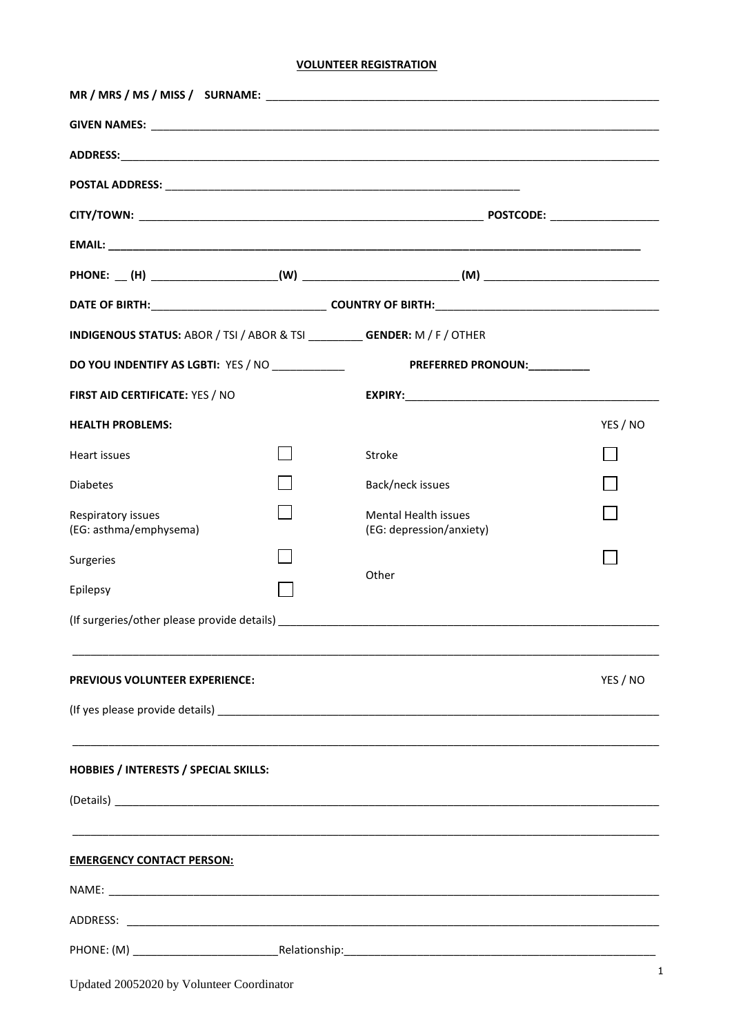# **VOLUNTEER REGISTRATION**

| INDIGENOUS STATUS: ABOR / TSI / ABOR & TSI ___________ GENDER: M / F / OTHER |  |                                                                                                                       |          |
|------------------------------------------------------------------------------|--|-----------------------------------------------------------------------------------------------------------------------|----------|
| DO YOU INDENTIFY AS LGBTI: YES / NO ____________                             |  | PREFERRED PRONOUN:__________                                                                                          |          |
| FIRST AID CERTIFICATE: YES / NO                                              |  |                                                                                                                       |          |
| <b>HEALTH PROBLEMS:</b>                                                      |  |                                                                                                                       | YES / NO |
| Heart issues                                                                 |  | Stroke                                                                                                                |          |
| <b>Diabetes</b>                                                              |  | Back/neck issues                                                                                                      |          |
| Respiratory issues<br>(EG: asthma/emphysema)                                 |  | <b>Mental Health issues</b><br>(EG: depression/anxiety)                                                               |          |
| Surgeries                                                                    |  |                                                                                                                       |          |
| Epilepsy                                                                     |  | Other                                                                                                                 |          |
|                                                                              |  |                                                                                                                       |          |
|                                                                              |  |                                                                                                                       |          |
| <b>PREVIOUS VOLUNTEER EXPERIENCE:</b>                                        |  |                                                                                                                       | YES / NO |
|                                                                              |  |                                                                                                                       |          |
|                                                                              |  |                                                                                                                       |          |
| <b>HOBBIES / INTERESTS / SPECIAL SKILLS:</b>                                 |  |                                                                                                                       |          |
|                                                                              |  |                                                                                                                       |          |
|                                                                              |  | <u> 1989 - Johann Stoff, deutscher Stoff, der Stoff, der Stoff, der Stoff, der Stoff, der Stoff, der Stoff, der S</u> |          |
| <b>EMERGENCY CONTACT PERSON:</b>                                             |  |                                                                                                                       |          |
|                                                                              |  |                                                                                                                       |          |
|                                                                              |  |                                                                                                                       |          |
|                                                                              |  |                                                                                                                       |          |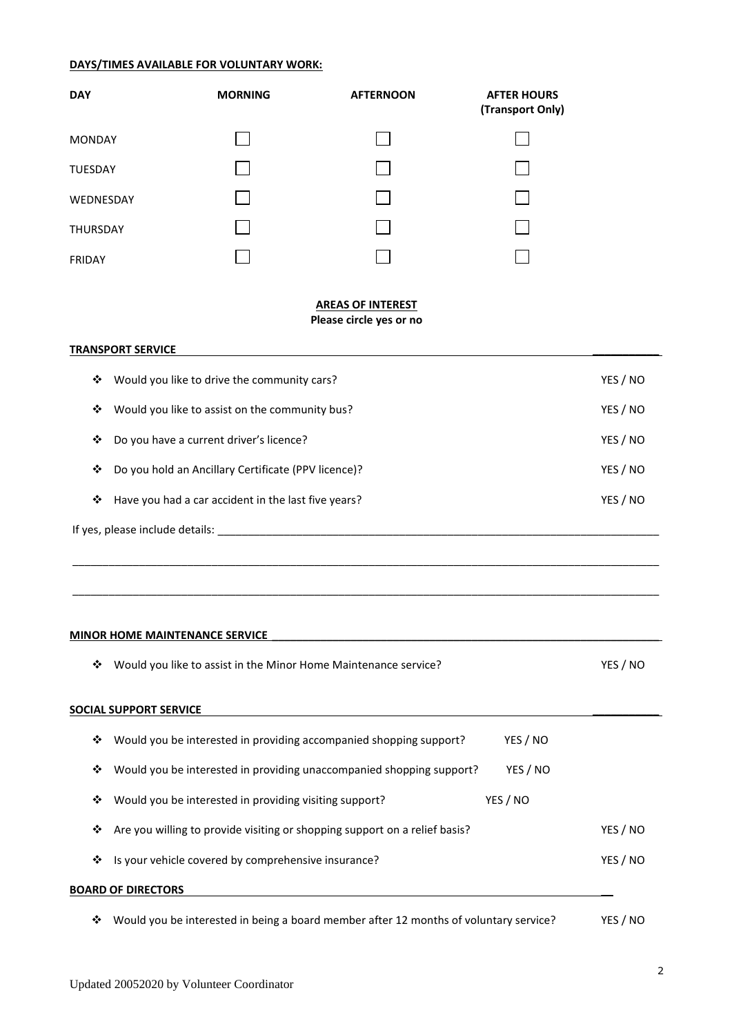## **DAYS/TIMES AVAILABLE FOR VOLUNTARY WORK:**

| <b>DAY</b>    | <b>MORNING</b> | <b>AFTERNOON</b> | <b>AFTER HOURS</b><br>(Transport Only) |
|---------------|----------------|------------------|----------------------------------------|
| <b>MONDAY</b> |                |                  |                                        |
| TUESDAY       |                |                  |                                        |
| WEDNESDAY     |                |                  |                                        |
| THURSDAY      |                |                  |                                        |
| <b>FRIDAY</b> |                |                  |                                        |

## **AREAS OF INTEREST Please circle yes or no**

|   | <b>TRANSPORT SERVICE</b>                            |          |
|---|-----------------------------------------------------|----------|
| ❖ | Would you like to drive the community cars?         | YES / NO |
| ❖ | Would you like to assist on the community bus?      | YES / NO |
| ❖ | Do you have a current driver's licence?             | YES / NO |
| ❖ | Do you hold an Ancillary Certificate (PPV licence)? | YES / NO |
| ❖ | Have you had a car accident in the last five years? | YES / NO |
|   | If yes, please include details:                     |          |
|   |                                                     |          |

 $\_$  ,  $\_$  ,  $\_$  ,  $\_$  ,  $\_$  ,  $\_$  ,  $\_$  ,  $\_$  ,  $\_$  ,  $\_$  ,  $\_$  ,  $\_$  ,  $\_$  ,  $\_$  ,  $\_$  ,  $\_$  ,  $\_$  ,  $\_$  ,  $\_$  ,  $\_$  ,  $\_$  ,  $\_$  ,  $\_$  ,  $\_$  ,  $\_$  ,  $\_$  ,  $\_$  ,  $\_$  ,  $\_$  ,  $\_$  ,  $\_$  ,  $\_$  ,  $\_$  ,  $\_$  ,  $\_$  ,  $\_$  ,  $\_$  ,

 $\_$  ,  $\_$  ,  $\_$  ,  $\_$  ,  $\_$  ,  $\_$  ,  $\_$  ,  $\_$  ,  $\_$  ,  $\_$  ,  $\_$  ,  $\_$  ,  $\_$  ,  $\_$  ,  $\_$  ,  $\_$  ,  $\_$  ,  $\_$  ,  $\_$  ,  $\_$  ,  $\_$  ,  $\_$  ,  $\_$  ,  $\_$  ,  $\_$  ,  $\_$  ,  $\_$  ,  $\_$  ,  $\_$  ,  $\_$  ,  $\_$  ,  $\_$  ,  $\_$  ,  $\_$  ,  $\_$  ,  $\_$  ,  $\_$  ,

## **MINOR HOME MAINTENANCE SERVICE \_\_\_\_\_\_\_\_\_\_\_\_\_\_\_\_\_\_\_\_\_\_\_\_\_\_\_\_\_\_\_\_\_\_\_\_\_\_\_\_\_\_\_\_\_\_\_\_\_\_\_\_\_\_\_\_\_\_\_\_\_\_\_\_**

| ❖ | Would you like to assist in the Minor Home Maintenance service?                       |          | YES / NO |
|---|---------------------------------------------------------------------------------------|----------|----------|
|   | SOCIAL SUPPORT SERVICE                                                                |          |          |
| ❖ | Would you be interested in providing accompanied shopping support?                    | YES / NO |          |
| ❖ | Would you be interested in providing unaccompanied shopping support?                  | YES / NO |          |
| ❖ | Would you be interested in providing visiting support?                                | YES / NO |          |
| ❖ | Are you willing to provide visiting or shopping support on a relief basis?            |          | YES / NO |
| ❖ | Is your vehicle covered by comprehensive insurance?                                   |          | YES / NO |
|   | <b>BOARD OF DIRECTORS</b>                                                             |          |          |
| ❖ | Would you be interested in being a board member after 12 months of voluntary service? |          | YES / NO |